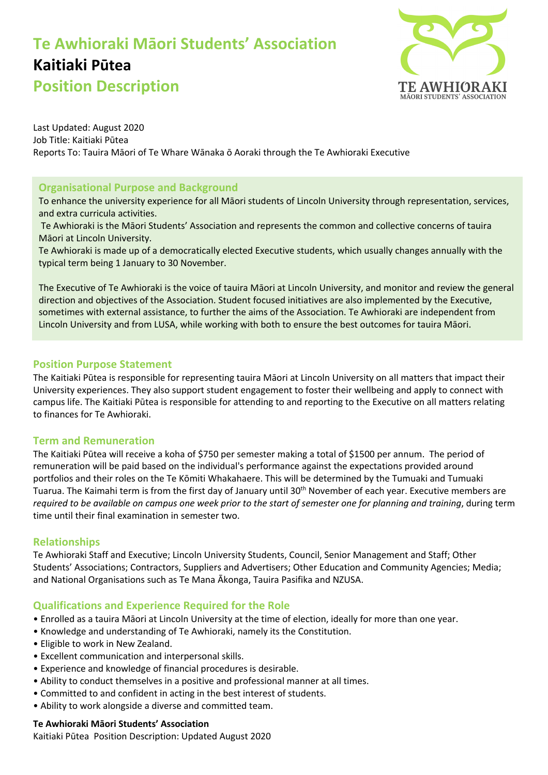# **Te Awhioraki Māori Students' Association Kaitiaki Pūtea Position Description**



Last Updated: August 2020 Job Title: Kaitiaki Pūtea Reports To: Tauira Māori of Te Whare Wānaka ō Aoraki through the Te Awhioraki Executive

## **Organisational Purpose and Background**

To enhance the university experience for all Māori students of Lincoln University through representation, services, and extra curricula activities.

Te Awhioraki is the Māori Students' Association and represents the common and collective concerns of tauira Māori at Lincoln University.

Te Awhioraki is made up of a democratically elected Executive students, which usually changes annually with the typical term being 1 January to 30 November.

The Executive of Te Awhioraki is the voice of tauira Māori at Lincoln University, and monitor and review the general direction and objectives of the Association. Student focused initiatives are also implemented by the Executive, sometimes with external assistance, to further the aims of the Association. Te Awhioraki are independent from Lincoln University and from LUSA, while working with both to ensure the best outcomes for tauira Māori.

## **Position Purpose Statement**

The Kaitiaki Pūtea is responsible for representing tauira Māori at Lincoln University on all matters that impact their University experiences. They also support student engagement to foster their wellbeing and apply to connect with campus life. The Kaitiaki Pūtea is responsible for attending to and reporting to the Executive on all matters relating to finances for Te Awhioraki.

## **Term and Remuneration**

The Kaitiaki Pūtea will receive a koha of \$750 per semester making a total of \$1500 per annum. The period of remuneration will be paid based on the individual's performance against the expectations provided around portfolios and their roles on the Te Kōmiti Whakahaere. This will be determined by the Tumuaki and Tumuaki Tuarua. The Kaimahi term is from the first day of January until 30th November of each year. Executive members are *required to be available on campus one week prior to the start of semester one for planning and training*, during term time until their final examination in semester two.

## **Relationships**

Te Awhioraki Staff and Executive; Lincoln University Students, Council, Senior Management and Staff; Other Students' Associations; Contractors, Suppliers and Advertisers; Other Education and Community Agencies; Media; and National Organisations such as Te Mana Ākonga, Tauira Pasifika and NZUSA.

## **Qualifications and Experience Required for the Role**

- Enrolled as a tauira Māori at Lincoln University at the time of election, ideally for more than one year.
- Knowledge and understanding of Te Awhioraki, namely its the Constitution.
- Eligible to work in New Zealand.
- Excellent communication and interpersonal skills.
- Experience and knowledge of financial procedures is desirable.
- Ability to conduct themselves in a positive and professional manner at all times.
- Committed to and confident in acting in the best interest of students.
- Ability to work alongside a diverse and committed team.

## **Te Awhioraki Māori Students' Association**

Kaitiaki Pūtea Position Description: Updated August 2020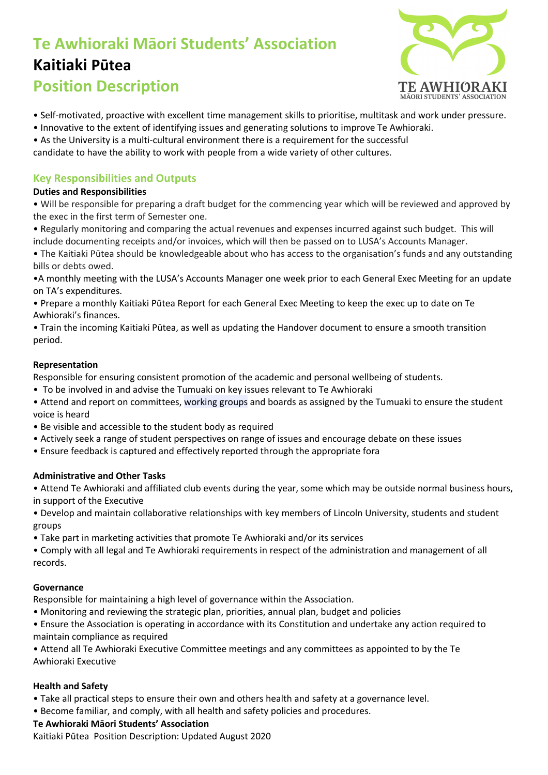# **Te Awhioraki Māori Students' Association Kaitiaki Pūtea Position Description**



- Self-motivated, proactive with excellent time management skills to prioritise, multitask and work under pressure.
- Innovative to the extent of identifying issues and generating solutions to improve Te Awhioraki.
- As the University is a multi-cultural environment there is a requirement for the successful

candidate to have the ability to work with people from a wide variety of other cultures.

## **Key Responsibilities and Outputs**

## **Duties and Responsibilities**

• Will be responsible for preparing a draft budget for the commencing year which will be reviewed and approved by the exec in the first term of Semester one.

• Regularly monitoring and comparing the actual revenues and expenses incurred against such budget. This will include documenting receipts and/or invoices, which will then be passed on to LUSA's Accounts Manager.

• The Kaitiaki Pūtea should be knowledgeable about who has access to the organisation's funds and any outstanding bills or debts owed.

•A monthly meeting with the LUSA's Accounts Manager one week prior to each General Exec Meeting for an update on TA's expenditures.

• Prepare a monthly Kaitiaki Pūtea Report for each General Exec Meeting to keep the exec up to date on Te Awhioraki's finances.

• Train the incoming Kaitiaki Pūtea, as well as updating the Handover document to ensure a smooth transition period.

## **Representation**

Responsible for ensuring consistent promotion of the academic and personal wellbeing of students.

- To be involved in and advise the Tumuaki on key issues relevant to Te Awhioraki
- Attend and report on committees, working groups and boards as assigned by the Tumuaki to ensure the student voice is heard
- Be visible and accessible to the student body as required
- Actively seek a range of student perspectives on range of issues and encourage debate on these issues
- Ensure feedback is captured and effectively reported through the appropriate fora

## **Administrative and Other Tasks**

• Attend Te Awhioraki and affiliated club events during the year, some which may be outside normal business hours, in support of the Executive

• Develop and maintain collaborative relationships with key members of Lincoln University, students and student groups

• Take part in marketing activities that promote Te Awhioraki and/or its services

• Comply with all legal and Te Awhioraki requirements in respect of the administration and management of all records.

## **Governance**

Responsible for maintaining a high level of governance within the Association.

- Monitoring and reviewing the strategic plan, priorities, annual plan, budget and policies
- Ensure the Association is operating in accordance with its Constitution and undertake any action required to maintain compliance as required

• Attend all Te Awhioraki Executive Committee meetings and any committees as appointed to by the Te Awhioraki Executive

## **Health and Safety**

• Take all practical steps to ensure their own and others health and safety at a governance level.

• Become familiar, and comply, with all health and safety policies and procedures.

## **Te Awhioraki Māori Students' Association**

Kaitiaki Pūtea Position Description: Updated August 2020